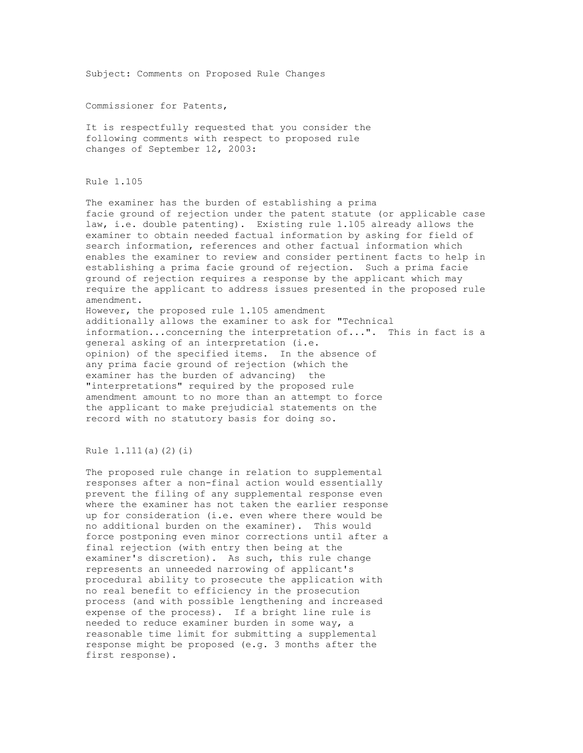Subject: Comments on Proposed Rule Changes

Commissioner for Patents,

It is respectfully requested that you consider the following comments with respect to proposed rule changes of September 12, 2003:

Rule 1.105

The examiner has the burden of establishing a prima facie ground of rejection under the patent statute (or applicable case law, i.e. double patenting). Existing rule 1.105 already allows the examiner to obtain needed factual information by asking for field of search information, references and other factual information which enables the examiner to review and consider pertinent facts to help in establishing a prima facie ground of rejection. Such a prima facie ground of rejection requires a response by the applicant which may require the applicant to address issues presented in the proposed rule amendment.

However, the proposed rule 1.105 amendment additionally allows the examiner to ask for "Technical information...concerning the interpretation of...". This in fact is a general asking of an interpretation (i.e. opinion) of the specified items. In the absence of any prima facie ground of rejection (which the examiner has the burden of advancing) the "interpretations" required by the proposed rule amendment amount to no more than an attempt to force the applicant to make prejudicial statements on the record with no statutory basis for doing so.

Rule 1.111(a)(2)(i)

The proposed rule change in relation to supplemental responses after a non-final action would essentially prevent the filing of any supplemental response even where the examiner has not taken the earlier response up for consideration (i.e. even where there would be no additional burden on the examiner). This would force postponing even minor corrections until after a final rejection (with entry then being at the examiner's discretion). As such, this rule change represents an unneeded narrowing of applicant's procedural ability to prosecute the application with no real benefit to efficiency in the prosecution process (and with possible lengthening and increased expense of the process). If a bright line rule is needed to reduce examiner burden in some way, a reasonable time limit for submitting a supplemental response might be proposed (e.g. 3 months after the first response).